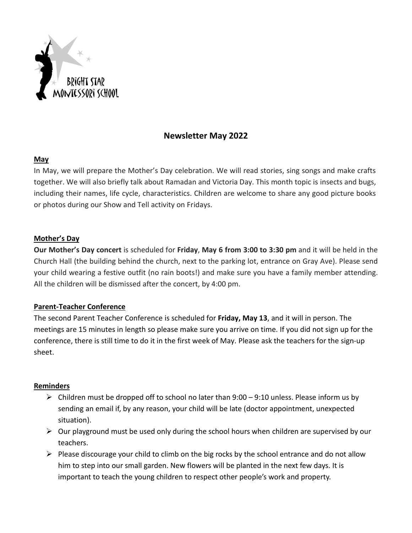

# **Newsletter May 2022**

## **May**

In May, we will prepare the Mother's Day celebration. We will read stories, sing songs and make crafts together. We will also briefly talk about Ramadan and Victoria Day. This month topic is insects and bugs, including their names, life cycle, characteristics. Children are welcome to share any good picture books or photos during our Show and Tell activity on Fridays.

## **Mother's Day**

**Our Mother's Day concert** is scheduled for **Friday**, **May 6 from 3:00 to 3:30 pm** and it will be held in the Church Hall (the building behind the church, next to the parking lot, entrance on Gray Ave). Please send your child wearing a festive outfit (no rain boots!) and make sure you have a family member attending. All the children will be dismissed after the concert, by 4:00 pm.

## **Parent-Teacher Conference**

The second Parent Teacher Conference is scheduled for **Friday, May 13**, and it will in person. The meetings are 15 minutes in length so please make sure you arrive on time. If you did not sign up for the conference, there is still time to do it in the first week of May. Please ask the teachers for the sign-up sheet.

## **Reminders**

- $\triangleright$  Children must be dropped off to school no later than 9:00 9:10 unless. Please inform us by sending an email if, by any reason, your child will be late (doctor appointment, unexpected situation).
- $\triangleright$  Our playground must be used only during the school hours when children are supervised by our teachers.
- $\triangleright$  Please discourage your child to climb on the big rocks by the school entrance and do not allow him to step into our small garden. New flowers will be planted in the next few days. It is important to teach the young children to respect other people's work and property.